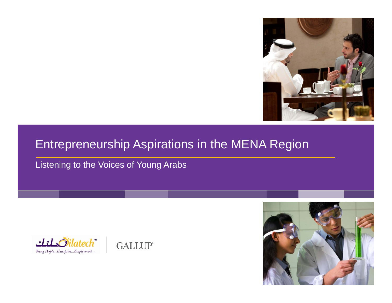

#### Entrepreneurship Aspirations in the MENA Region

Listening to the Voices of Young Arabs





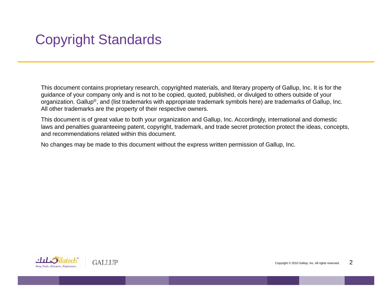# Copyright Standards

This document contains proprietary research, copyrighted materials, and literary property of Gallup, Inc. It is for the guidance of your company only and is not to be copied, quoted, published, or divulged to others outside of your organization. Gallup®, and (list trademarks with appropriate trademark symbols here) are trademarks of Gallup, Inc. All other trademarks are the property of their respective owners.

This document is of great value to both your organization and Gallup, Inc. Accordingly, international and domestic laws and penalties guaranteeing patent, copyright, trademark, and trade secret protection protect the ideas, concepts, and recommendations related within this document.

No changes may be made to this document without the express written permission of Gallup, Inc.

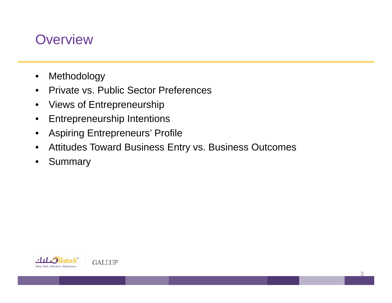### **Overview**

- $\bullet$ Methodology
- $\bullet$ Private vs. Public Sector Preferences
- $\bullet$ Views of Entrepreneurship
- $\bullet$ Entrepreneurship Intentions
- $\bullet$ Aspiring Entrepreneurs' Profile
- •Attitudes Toward Business Entry vs. Business Outcomes
- •**Summary**

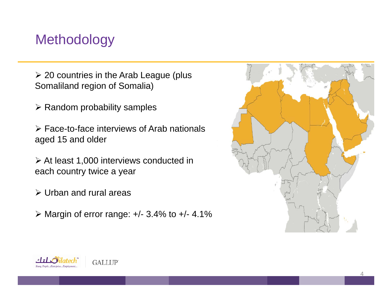### Methodology

 $\geq$  20 countries in the Arab League (plus Somaliland region of Somalia)

 $\triangleright$  Random probability samples

 $\triangleright$  Face-to-face interviews of Arab nationals aged 15 and older

¾ At least 1,000 interviews conducted in each country twice <sup>a</sup> year

- $\triangleright$  Urban and rural areas
- $\triangleright$  Margin of error range:  $+/- 3.4\%$  to  $+/- 4.1\%$



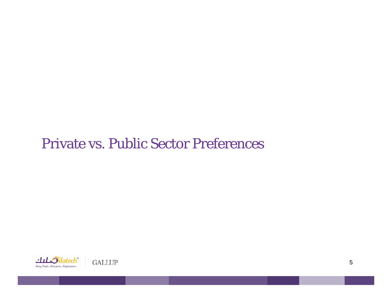### Private vs. Public Sector Preferences

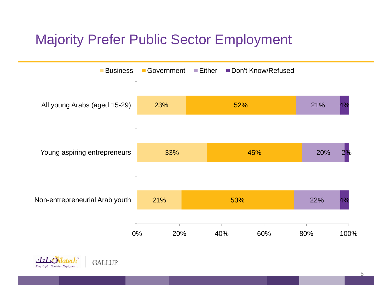# Majority Prefer Public Sector Employment



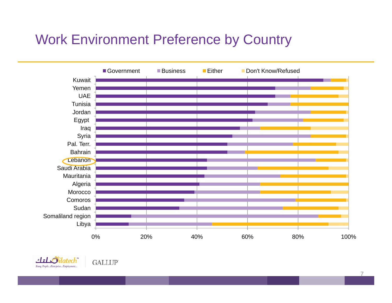# Work Environment Preference by Country





**GALLUP**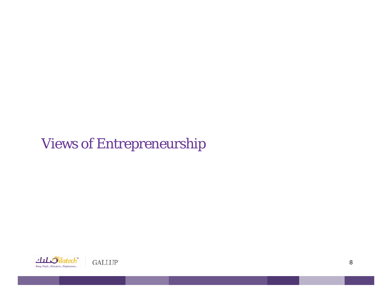# Views of Entrepreneurship

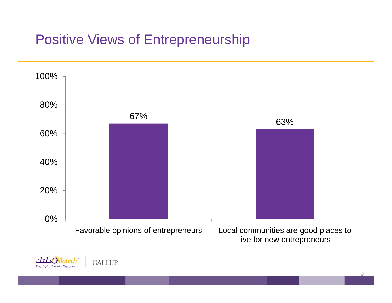## Positive Views of Entrepreneurship

Young People...Enterprise...Empi

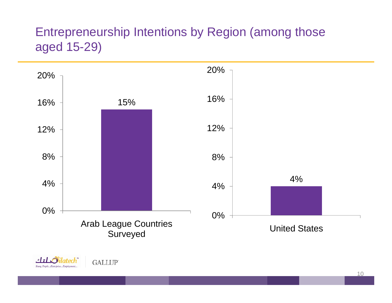#### Entrepreneurship Intentions by Region (among those aged 15-29)





**GALLUP**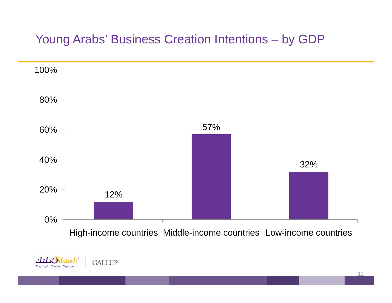#### Young Arabs' Business Creation Intentions – by GDP





**GALLUP**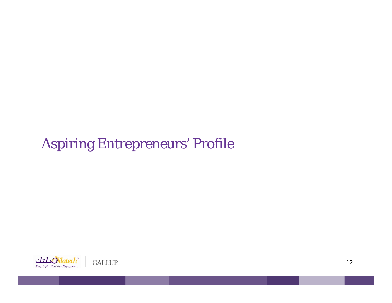# Aspiring Entrepreneurs' Profile

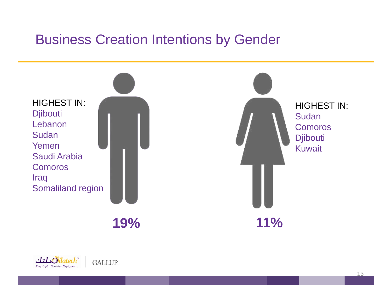### Business Creation Intentions by Gender



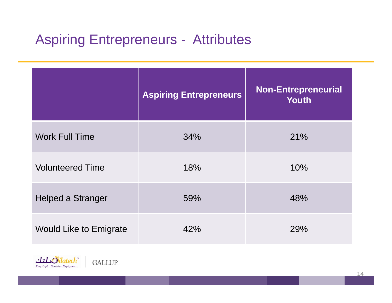# Aspiring Entrepreneurs - Attributes

|                               | <b>Aspiring Entrepreneurs</b> | <b>Non-Entrepreneurial</b><br><b>Youth</b> |
|-------------------------------|-------------------------------|--------------------------------------------|
| <b>Work Full Time</b>         | 34%                           | 21%                                        |
| <b>Volunteered Time</b>       | 18%                           | 10%                                        |
| <b>Helped a Stranger</b>      | 59%                           | 48%                                        |
| <b>Would Like to Emigrate</b> | 42%                           | 29%                                        |

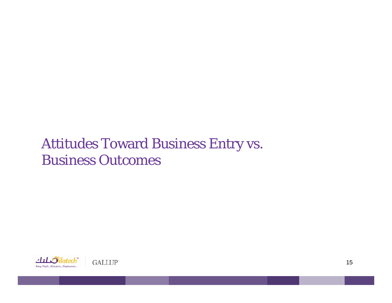## Attitudes Toward Business Entry vs. Business Outcomes

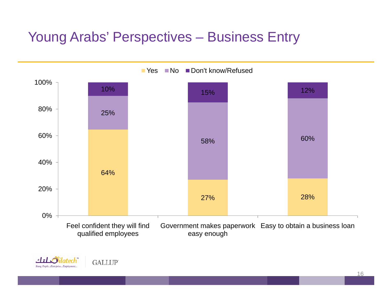# Young Arabs' Perspectives – Business Entry

 $\mathbf{H}$ 

Young People...Enterprise...Employment...

**GALLUP** 

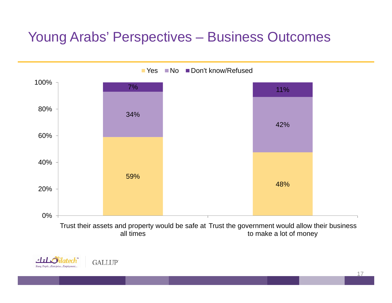## Young Arabs' Perspectives – Business Outcomes



Yes ■No ■Don't know/Refused

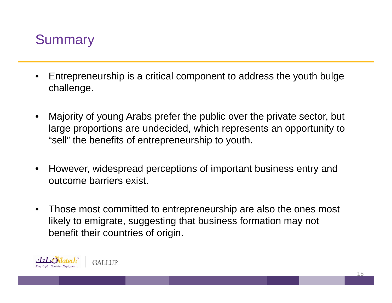

- $\bullet$  Entrepreneurship is a critical component to address the youth bulge challenge.
- • Majority of young Arabs prefer the public over the private sector, but large proportions are undecided, which represents an opportunity to "sell" the benefits of entrepreneurship to youth.
- •However, widespread perceptions of important business entry and outcome barriers exist.
- •Those most committed to entrepreneurship are also the ones most likely to emigrate, suggesting that business formation may not benefit their countries of origin.